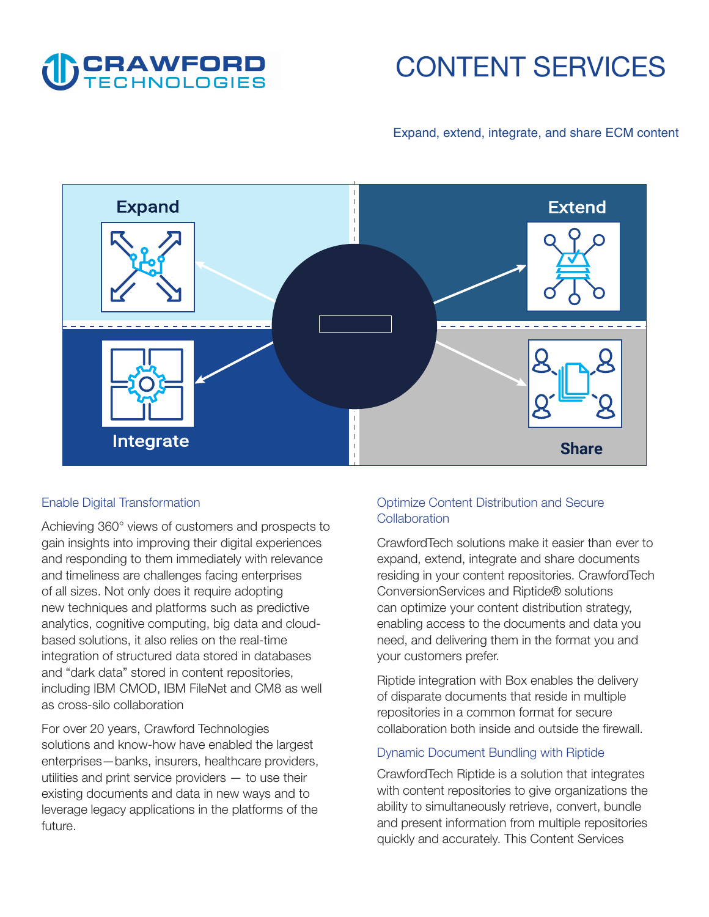

# **CONTENT SERVICES**

# **Expand, extend, integrate, and share ECM content**



#### **Enable Digital Transformation**

**Achieving 360° views of customers and prospects to gain insights into improving their digital experiences and responding to them immediately with relevance and timeliness are challenges facing enterprises of all sizes. Not only does it require adopting new techniques and platforms such as predictive analytics, cognitive computing, big data and cloudbased solutions, it also relies on the real-time integration of structured data stored in databases and "dark data" stored in content repositories, including IBM CMOD, IBM FileNet and CM8 as well as cross-silo collaboration** 

**For over 20 years, Crawford Technologies solutions and know-how have enabled the largest enterprises—banks, insurers, healthcare providers, utilities and print service providers — to use their existing documents and data in new ways and to leverage legacy applications in the platforms of the future.** 

# **Optimize Content Distribution and Secure Collaboration**

**CrawfordTech solutions make it easier than ever to expand, extend, integrate and share documents residing in your content repositories. CrawfordTech ConversionServices and Riptide® solutions can optimize your content distribution strategy, enabling access to the documents and data you need, and delivering them in the format you and your customers prefer.** 

**Riptide integration with Box enables the delivery of disparate documents that reside in multiple repositories in a common format for secure collaboration both inside and outside the firewall.** 

#### **Dynamic Document Bundling with Riptide**

**CrawfordTech Riptide is a solution that integrates with content repositories to give organizations the ability to simultaneously retrieve, convert, bundle and present information from multiple repositories quickly and accurately. This Content Services**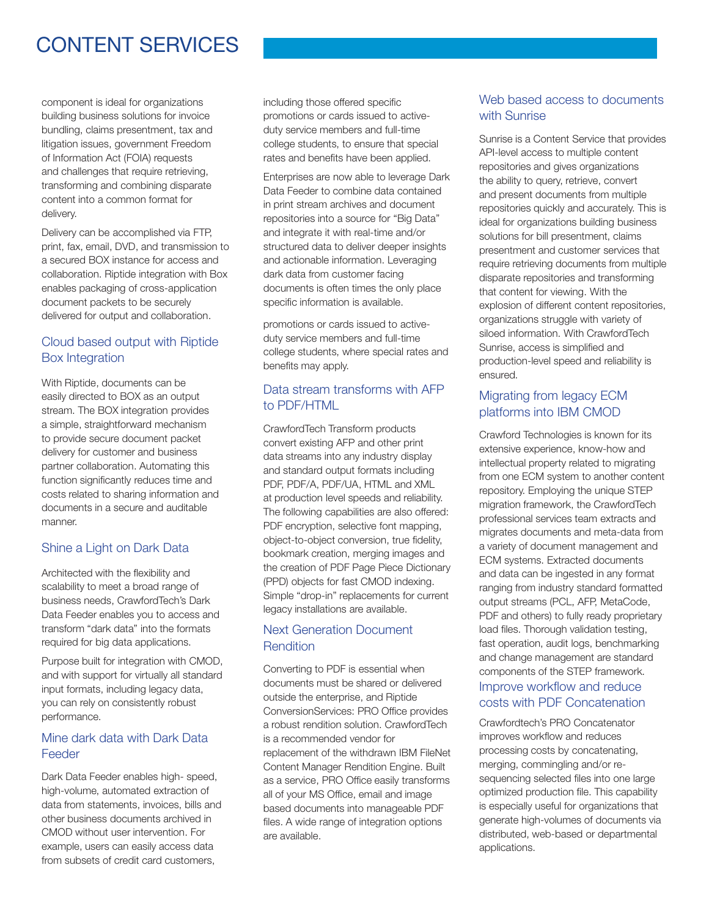# **CONTENT SERVICES**

**component is ideal for organizations building business solutions for invoice bundling, claims presentment, tax and litigation issues, government Freedom of Information Act (FOIA) requests and challenges that require retrieving, transforming and combining disparate content into a common format for delivery.** 

**Delivery can be accomplished via FTP, print, fax, email, DVD, and transmission to a secured BOX instance for access and collaboration. Riptide integration with Box enables packaging of cross-application document packets to be securely delivered for output and collaboration.** 

### **Cloud based output with Riptide Box Integration**

**With Riptide, documents can be easily directed to BOX as an output stream. The BOX integration provides a simple, straightforward mechanism to provide secure document packet delivery for customer and business partner collaboration. Automating this function significantly reduces time and costs related to sharing information and documents in a secure and auditable manner.** 

#### **Shine a Light on Dark Data**

**Architected with the flexibility and scalability to meet a broad range of business needs, CrawfordTech's Dark Data Feeder enables you to access and transform "dark data" into the formats required for big data applications.** 

**Purpose built for integration with CMOD, and with support for virtually all standard input formats, including legacy data, you can rely on consistently robust performance.** 

#### **Mine dark data with Dark Data Feeder**

**Dark Data Feeder enables high- speed, high-volume, automated extraction of data from statements, invoices, bills and other business documents archived in CMOD without user intervention. For example, users can easily access data from subsets of credit card customers,** 

**including those offered specific promotions or cards issued to activeduty service members and full-time college students, to ensure that special rates and benefits have been applied.** 

**Enterprises are now able to leverage Dark Data Feeder to combine data contained in print stream archives and document repositories into a source for "Big Data" and integrate it with real-time and/or structured data to deliver deeper insights and actionable information. Leveraging dark data from customer facing documents is often times the only place specific information is available.** 

**promotions or cards issued to activeduty service members and full-time college students, where special rates and benefits may apply.** 

#### **Data stream transforms with AFP to PDF/HTML**

**CrawfordTech Transform products convert existing AFP and other print data streams into any industry display and standard output formats including PDF, PDF/A, PDF/UA, HTML and XML at production level speeds and reliability. The following capabilities are also offered: PDF encryption, selective font mapping, object-to-object conversion, true fidelity, bookmark creation, merging images and the creation of PDF Page Piece Dictionary (PPD) objects for fast CMOD indexing. Simple "drop-in" replacements for current legacy installations are available.** 

#### **Next Generation Document Rendition**

**Converting to PDF is essential when documents must be shared or delivered outside the enterprise, and Riptide ConversionServices: PRO Office provides a robust rendition solution. CrawfordTech is a recommended vendor for replacement of the withdrawn IBM FileNet Content Manager Rendition Engine. Built as a service, PRO Office easily transforms all of your MS Office, email and image based documents into manageable PDF files. A wide range of integration options are available.** 

# **Web based access to documents with Sunrise**

**Sunrise is a Content Service that provides API-level access to multiple content repositories and gives organizations the ability to query, retrieve, convert and present documents from multiple repositories quickly and accurately. This is ideal for organizations building business solutions for bill presentment, claims presentment and customer services that require retrieving documents from multiple disparate repositories and transforming that content for viewing. With the explosion of different content repositories, organizations struggle with variety of siloed information. With CrawfordTech Sunrise, access is simplified and production-level speed and reliability is ensured.** 

# **Migrating from legacy ECM platforms into IBM CMOD**

**Crawford Technologies is known for its extensive experience, know-how and intellectual property related to migrating from one ECM system to another content repository. Employing the unique STEP migration framework, the CrawfordTech professional services team extracts and migrates documents and meta-data from a variety of document management and ECM systems. Extracted documents and data can be ingested in any format ranging from industry standard formatted output streams (PCL, AFP, MetaCode, PDF and others) to fully ready proprietary load files. Thorough validation testing, fast operation, audit logs, benchmarking and change management are standard components of the STEP framework.** 

# **Improve workflow and reduce costs with PDF Concatenation**

**Crawfordtech's PRO Concatenator improves workflow and reduces processing costs by concatenating, merging, commingling and/or resequencing selected files into one large optimized production file. This capability is especially useful for organizations that generate high-volumes of documents via distributed, web-based or departmental applications.**